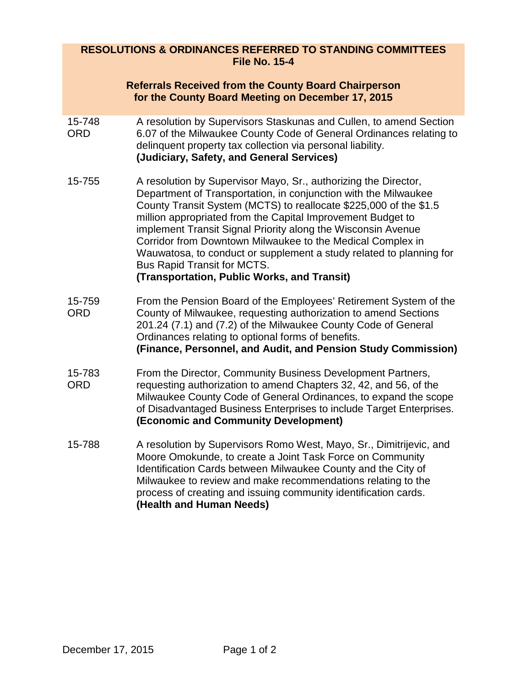## **RESOLUTIONS & ORDINANCES REFERRED TO STANDING COMMITTEES File No. 15-4**

|                      | <b>Referrals Received from the County Board Chairperson</b><br>for the County Board Meeting on December 17, 2015                                                                                                                                                                                                                                                                                                                                                                                                                                          |
|----------------------|-----------------------------------------------------------------------------------------------------------------------------------------------------------------------------------------------------------------------------------------------------------------------------------------------------------------------------------------------------------------------------------------------------------------------------------------------------------------------------------------------------------------------------------------------------------|
| 15-748<br><b>ORD</b> | A resolution by Supervisors Staskunas and Cullen, to amend Section<br>6.07 of the Milwaukee County Code of General Ordinances relating to<br>delinquent property tax collection via personal liability.<br>(Judiciary, Safety, and General Services)                                                                                                                                                                                                                                                                                                      |
| 15-755               | A resolution by Supervisor Mayo, Sr., authorizing the Director,<br>Department of Transportation, in conjunction with the Milwaukee<br>County Transit System (MCTS) to reallocate \$225,000 of the \$1.5<br>million appropriated from the Capital Improvement Budget to<br>implement Transit Signal Priority along the Wisconsin Avenue<br>Corridor from Downtown Milwaukee to the Medical Complex in<br>Wauwatosa, to conduct or supplement a study related to planning for<br>Bus Rapid Transit for MCTS.<br>(Transportation, Public Works, and Transit) |
| 15-759<br><b>ORD</b> | From the Pension Board of the Employees' Retirement System of the<br>County of Milwaukee, requesting authorization to amend Sections<br>201.24 (7.1) and (7.2) of the Milwaukee County Code of General<br>Ordinances relating to optional forms of benefits.<br>(Finance, Personnel, and Audit, and Pension Study Commission)                                                                                                                                                                                                                             |
| 15-783<br><b>ORD</b> | From the Director, Community Business Development Partners,<br>requesting authorization to amend Chapters 32, 42, and 56, of the<br>Milwaukee County Code of General Ordinances, to expand the scope<br>of Disadvantaged Business Enterprises to include Target Enterprises.<br>(Economic and Community Development)                                                                                                                                                                                                                                      |
| 15-788               | A resolution by Supervisors Romo West, Mayo, Sr., Dimitrijevic, and<br>Moore Omokunde, to create a Joint Task Force on Community<br>Identification Cards between Milwaukee County and the City of<br>Milwaukee to review and make recommendations relating to the<br>process of creating and issuing community identification cards.<br>(Health and Human Needs)                                                                                                                                                                                          |